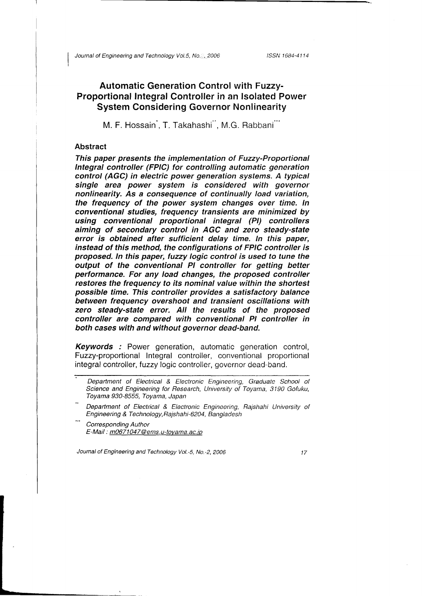ISSN 1684-4114

# Automatic Generation Control with Fuzzy-Proportional Integral Controller in an lsolated Power System Considering Governor Nonlinearity

M. F. Hossain, T. Takahashi<sup>"</sup>, M.G. Rabbani<sup>"</sup>

## Abstract

I

This paper presents the implementation of Fuzzy-Frapartional Integral controller (FPIC) for controlling automatic generation control (AGC) in electric power generation systems. A typical single area power system is considered with governor nonlinearity. As a consequence of continually load variation, the frequency of the power system changes over time. ln conventional studies, frequency transients are minimized by using conventional proportional integral (Pl) eontrollers aiming of secondary control in AGC and zero steady-state error is obtained after sufficient delay time. ln this paper, instead of this method, the configurations of FPIC controller is proposed. ln this paper, fuzzy logic control is used to tune the output of the conventional PI controller for getting better pertormance. For any load changes, the proposed controller restores the frequency to its nominal value within the shortest possible time. This controller provides a satisfactory balance between frequency overshoot and transient oscillations with zero steady-state error. AII the results of the proposed controller are compared with conventional PI controller in both cases with and without governor dead-band.

**Keywords** : Power generation, automatic generation control, Fuzzy-proportional Integral controller, conventional proportional integral controller, tuzzy logic controller, governor dead-band.

Corresponding Author E-Mail: m0671047@ems.u-toyama.ac.jp

Journal of Engineering and Technology Vol.-5, No.-2, 2006

Department of Electrical & Electronic Engineering, Graduate School of Science and Engineering for Research, University of Toyama, 3190 Gofuku, Toyama 930-8555, Toyama, Japan

Department of Electrical & Electronic Engineering, Rajshahi University of Engineering & Technology,Rajshahi-6204, Bangladesh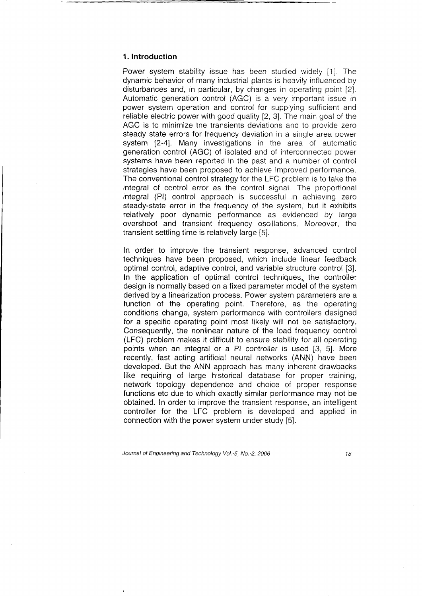### 1. lntroduction

Power system stability issue has been studied widely [1]. The dynamic behavior of many industrial plants is heavily influenced by disturbances and, in particular, by changes in operating point [2]. Automatic generation control (AGC) is a very important issue in power system operation and control for supplying sufficient and reliable electric power with good quality [2, 3]. The main goal of the AGC is to minimize the transients deviations and to provide zero steady state errors for frequency deviation in a single area power system [2-4]. Many investigations in the area of automatic generation control (AGC) of isolated and of interconnected power systems have been reported in the past and a number of control strategies have been proposed to achieve improved performance. The conventional control strategy for the LFC problem is to take the integral of control error as the control signal. The proportional integral (Pl) control approach is successful in achieving zero steady-state error in the frequency of the system, but it exhibits relatively poor dynamic performance as evidenced by large overshoot and transient frequency oscillations. Moreover, the transient settling time is relatively large [5].

In order to improve the transient response, advanced control techniques have been proposed, which include linear feedback optimal control, adaptive control, and variable structure control [3]. In the application of optimal control techniques, the controller design is normally based on a fixed parameter model of the system derived by a linearization process. Power system parameters are a function of the operating point. Therefore, as the operating conditions change, system performance with controllers designed for a specific operating point most likely will not be satisfactory. Consequently, the nonlinear nature of the load frequency control (LFC) problem makes it difficult to ensure stability for all operating points when an integral or a Pl controller is used [3, 5]. More recently, fast acting artificial neural networks (ANN) have been developed. But the ANN approach has many inherent drawbacks like requiring of large historical database for proper training, network topology dependence and choice of proper response functions etc due to which exactly similar performance may not be obtained. In order to improve the transient response, an intelligent controller for the LFC problem is developed and applied in connection with the power system under study [5].

Journal of Engineering and Technology Vol.-5, No.-2, 2006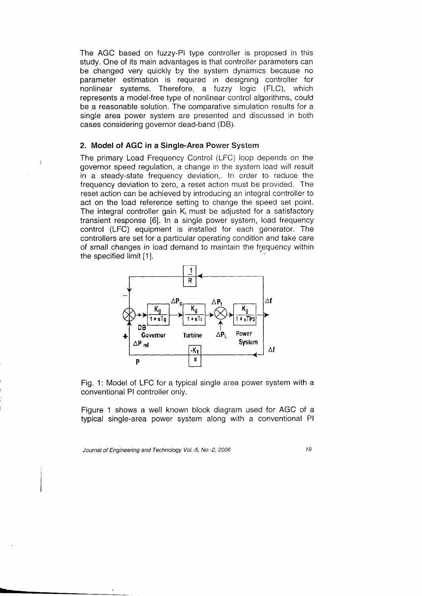The AGC based on tuzzy-Pl type controller is proposed in this study. One of its main advantages is that controller parameters can be changed very quickly by the system dynamics because no parameter estimation is required in designing controller for nonlinear systems. Therefore, a fuzzy logic (FLC), which represents a model-free type of nonlinear control algorithms, could be a reasonable solution. The comparative simulation results for a single area power system are presented and discussed in both cases considering governor dead-band (DB).

### 2. Model of AGC in a Single-Area Power System

The primary Load Frequency Control (LFC) loop depends on the governor speed regulation, achange in the system load will result in a steady-state frequency deviation,. In order to reduce the frequency deviation to zero, a reset action must be provided. The reset action can be achieved by introducing an integral controller to act on the load reference setting to change the speed set point. The integral controller gain  $K<sub>1</sub>$  must be adjusted for a satisfactory transient response [6]. In a single power system, load frequency control (LFC) equipment is installed for each generator. The controllers are set for a particular operating condition and take care of small changes in load demand to maintain the frequency within the specified limit [1].



Fig. 1: Model of LFC for a typical single area power system with a conventional Pl controller only.

Figure 1 shows a well known block diagram used for AGC of a typical single-area power system along with a conventional Pl

Journal of Engineering and Technology Vol.-5, No.-2, 2006 19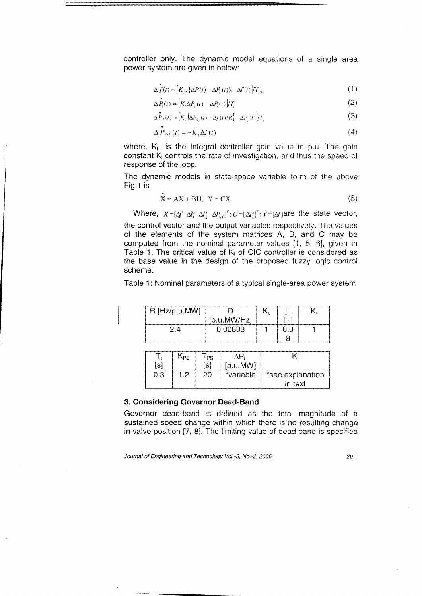controller only. The dynamic model equations of a single area power system are given in below:

$$
\Delta f(t) = [K_{PS} \{\Delta P_t(t) - \Delta P_t(t)\} - \Delta f(t)]/T_{PS}
$$
\n(1)

$$
\Delta P_t(t) = \left[ K_t \Delta P_x(t) - \Delta P_t(t) \right] / T_t \tag{2}
$$

$$
\Delta \dot{P}_{\kappa}(t) = \left[ K_{\kappa} \left\{ \Delta P_{\kappa t}(t) - \Delta f(t) / R \right\} - \Delta P_{\kappa}(t) \right] / T_{\kappa} \tag{3}
$$

$$
\Delta P_{ref}(t) = -K_t \Delta f(t) \tag{4}
$$

where,  $K_{\text{I}}$  is the Integral controller gain value in p.u. The gai constant  $\mathsf{K}_\mathsf{I}$  controls the rate of investigation, and thus the speed o response of the loop.

The dynamic models in state-space variable form of the above Fig.1 is

$$
X = AX + BU, \ Y = CX \tag{5}
$$

Where,  $X=[\Delta f \ \Delta P_i \ \Delta P_r \ \Delta P_{ref}]^T$ ;  $U=[\Delta P_i]^T$ ;  $Y=[\Delta f]$  are the state vector, the control vector and the output variables respectively. The values of the elements of the system matrices A, B, and C may be computed from the nominal parameter values [1, 5, 6], given in Table 1. The critical value of  $K_i$  of CIC controller is considered as the base value in the design of the proposed tuzzy logic control scheme.

Table 1: Nominal parameters of a typical single-area power system

| $R$ [Hz/p.u.MW] |             | ١a | ma a |  |
|-----------------|-------------|----|------|--|
|                 | [p.u.MW/Hz] |    |      |  |
| $-4$            | 0.00833     |    |      |  |
|                 |             |    |      |  |

| ์รไ | <b>N</b> PS | PS<br>[s | [p.u.MW]  |                             |
|-----|-------------|----------|-----------|-----------------------------|
| 0.3 | ィっ          | -20      | *variable | *see explanation<br>in text |

#### 3. Considering Governor Dead-Band

Governor dead-band is defined as the total magnitude of a sustained speed change within which there is no resulting change in valve position [7, 8]. The limiting value of dead-band is specified

Journal of Engineering and Technology Vol.-5, No.-Z, 2006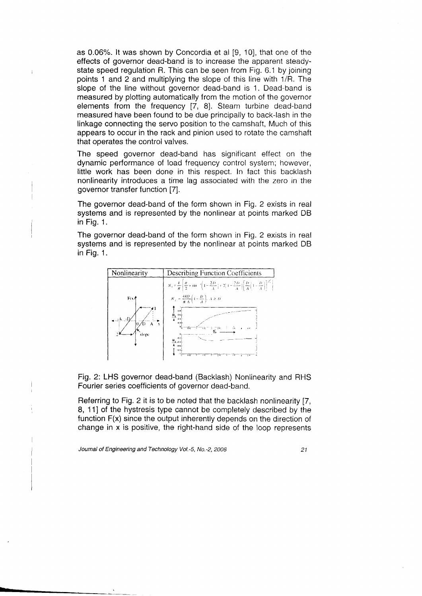as 0.06%. lt was shown by Concordia et al [9, 10], that one of the effects of governor dead-band is to increase the apparent steadystate speed regulation R. This can be seen from Fig. 6.1 by joining points 1 and 2 and multiplying the slope of this line with 1/R. The slope of the line without governor dead-band is 1. Dead-band is measured by plotting automatically from the motion of the governor elements from the frequency [7, B]. Steam turbine dead-band measured have been found to be due principally to back-lash in the linkage connecting the servo position to the camshaft, Much of this appears to occur in the rack and pinion used to rotate the camshaft that operates the control valves.

The speed governor dead-band has significant effect on the dynamic performance of load frequency control system; however, little work has been done in this respect. In fact this backlash nonlinearity introduces a time lag associated with the zero in the governor transfer function [7].

The governor dead-band of the form shown in Fig. 2 exists in real systems and is represented by the nonlinear at points marked DB in Fig. 1.

The governor dead-band of the form shown in Fig. 2 exists in real systems and is represented by the nonlinear at points marked DB in Fig. 1.



Fig. 2: LHS governor dead-band (Backlash) Nonlinearity and RHS Fourier series coefficients of governor dead-band.

Referring to Fig. 2 it is to be noted that the backlash nonlinearity [7, 8, 111 of the hystresis type cannot be completely described by the function F(x) since the output inherently depends on the direction of change in x is positive, the right-hand side of the loop represents

Journal of Engineering and Technology Vol.-5, No.-2, 2006 o 1

--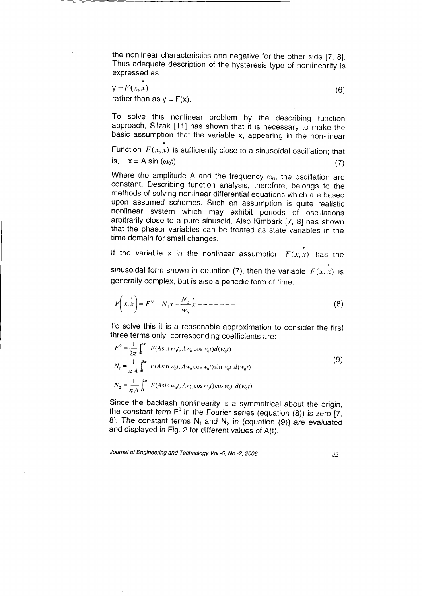the nonlinear characteristics and negative for the other side [7, B]. Thus adequate description of the hysteresis type of nonlinearity is expressed as

$$
y = F(x, x)
$$
  
rather than as  $y = F(x)$ . (6)

a

To solve this nonlinear problem by the describing function approach, Silzak [11] has shown that it is necessary to make the basic assumption that the variable x, appearing in the non-linear

is,  $x = A \sin(\omega_0 t)$ Function  $F(x, x)$  is sufficiently close to a sinusoidal oscillation; that (7)

Where the amplitude A and the frequency  $\omega_0$ , the oscillation are constant. Describing function analysis, therefore, belongs to the methods of solving nonlinear differential equations which are based upon assumed schemes. Such an assumption is quite realistic nonlinear system which may exhibit periods of oscillations arbitrarily close to a pure sinusoid. Also Kimbark [7, g] has shown that the phasor variables can be treated as state variables in the time domain for small changes.

If the variable x in the nonlinear assumption  $F(x, x)$  has the

sinusoidal form shown in equation (7), then the variable  $F(x, x)$  is generally complex, but is also a periodic form of time.

$$
F\left(x, x\right) = F^0 + N_1 x + \frac{N_2}{w_0} x + \dots - \dots \tag{8}
$$

To solve this it is a reasonable approximation to consider the first three terms only, corresponding coefficients are:

$$
F^{0} = \frac{1}{2\pi} \int_{0}^{\pi} F(A\sin w_{0}t, Aw_{0}\cos w_{0}t)d(w_{0}t)
$$
  
\n
$$
N_{1} = \frac{1}{\pi A} \int_{0}^{\pi} F(A\sin w_{0}t, Aw_{0}\cos w_{0}t)\sin w_{0}t d(w_{0}t)
$$
  
\n
$$
N_{2} = \frac{1}{\pi A} \int_{0}^{\pi} F(A\sin w_{0}t, Aw_{0}\cos w_{0}t)\cos w_{0}t d(w_{0}t)
$$
\n(9)

Since the backlash nonlinearity is a symmetrical about the origin, the constant term  $F^0$  in the Fourier series (equation (8)) is zero [7,  $F^0$ 8]. The constant terms N<sub>1</sub> and N<sub>2</sub> in (equation (9)) are evaluated and displayed in Fig. 2 for different values of A(t).

Journal of Engineering and Technology Vol.-5, No.-2, 2006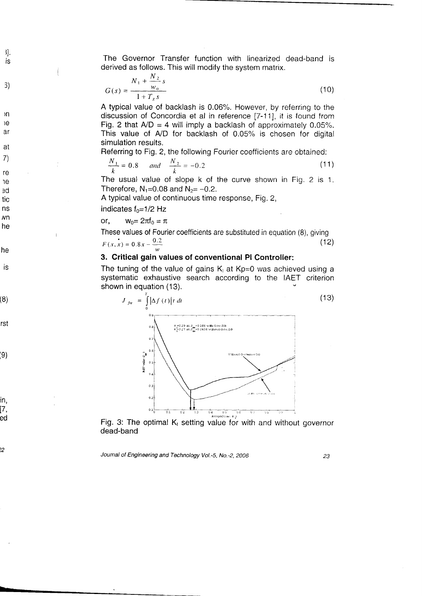is the Governor Transfer function with linearized dead-band is derived as follows. This will modify the system matrix.

$$
G(s) = \frac{N_1 + \frac{N_2}{w_0} s}{1 + T_s s}
$$
 (10)

A typical value of backlash is 0.06%. However, by referring to the discussion of Concordia et al in reference [7-11], it is found from Fig. 2 that  $A/D = 4$  will imply a backlash of approximately 0.05%. This value of A/D for backlash of 0.05% is chosen for digital simulation results.

Referring to Fig. 2, the following Fourier coefficients are obtained:

$$
\frac{N_1}{k} = 0.8 \quad and \quad \frac{N_2}{k} = -0.2 \tag{11}
$$

The usual value of slope k of the curve shown in Fig. 2 is 1. Therefore,  $N_1=0.08$  and  $N_2=-0.2$ .

A typical value of continuous time response, Fig.2,

## indicates  $f_0 = 1/2$  Hz

or,

il.

 $\mathcal{E}$ 

)n

ìе

**a**r

at 7)

1e ed tic ns /Vn he

re

he

is.

(8)

rst

ie)

in, 17, ed

?2

$$
w_0 = 2\pi f_0 = \pi
$$

These values of Fourier coefficients are substituted in equation (8), giving  $F(x, x) = 0.8x - \frac{0.2}{x}$  $(12)$  $\omega$ 

## 3. Critical gain values of conventional Pl Controller:

The tuning of the value of gains  $K_1$  at Kp=0 was achieved using a systematic exhaustive search according to the IAET criterion shown in equation (13).



Fig. 3: The optimal  $K_{1}$  setting value for with and without governor dead-band

Journal of Engineering and Technology Vol.-5, No.-2, 2006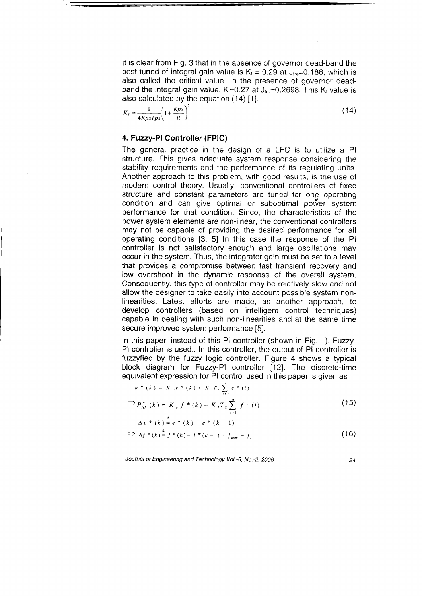It is clear from Fig. 3 that in the absence of governor dead-band the best tuned of integral gain value is  $K_1 = 0.29$  at  $J_{\text{free}} = 0.188$ , which is also called the critical value. ln the presence of governor deadband the integral gain value, K<sub>1</sub>=0.27 at  $J_{\text{free}}$ =0.2698. This K<sub>1</sub> value is also calculated by the equation (14) [1].

$$
K_{I} = \frac{1}{4KpsTps} \left( 1 + \frac{Kps}{R} \right)^{2}
$$
 (14)

## 4. Fuzzy-Pl Controller (FPIC)

The general practice in the design of a LFC is to utilize a Pl structure. This gives adequate system response considering the stability requirements and the performance of its regulating units. Another approach to this problem, with good results, is the use of modern control theory. Usually, conventional controllers of fixed structure and constant parameters are tuned for one operating condition and can give optimal or suboptimal power system performance for that condition. Since, the characteristics of the power system elements are non-linear, the conventional controllers may not be capable of providing the desired performance for all operating conditions [3, 5] ln this case the response of the Pl controller is not satisfactory enough and large oscillations may occur in the system. Thus, the integrator gain must be set to a level that provides a compromise between fast transient recovery and low overshoot in the dynamic response of the overall system. Consequently, this type of controller may be relatively slow and not allow the designer to take easily into account possible system nonlinearities. Latest efforts are made, as another approach, to develop controllers (based on intelligent control techniques) capable in dealing with such non-linearities and at the same time secure improved system performance [5].

ln this paper, instead of this Pl controller (shown in Fig. 1), Fuzzy-Pl controller is used.. ln this controller, the output of Pl controller is fuzzyfied by the fuzzy logic controller. Figure 4 shows a typical block diagram for Fuzzy-Pl controller [12]. The discrete-time equivalent expression for Pl control used in this paper is given as

$$
u * (k) = K_{p}e * (k) + K_{i}T_{s} \sum_{i=1}^{n} e * (i)
$$
  
\n
$$
\Rightarrow P_{ref}^{*}(k) = K_{p}f * (k) + K_{i}T_{s} \sum_{i=1}^{n} f * (i)
$$
\n(15)

$$
\Delta e^* (k) = e^* (k) - e^* (k-1).
$$

$$
\implies \Delta f^*(k) = f^*(k) - f^*(k-1) = f_{\text{nom}} - f, \tag{16}
$$

Journal of Engineering and Technology Vol.-5, No.-2, 2006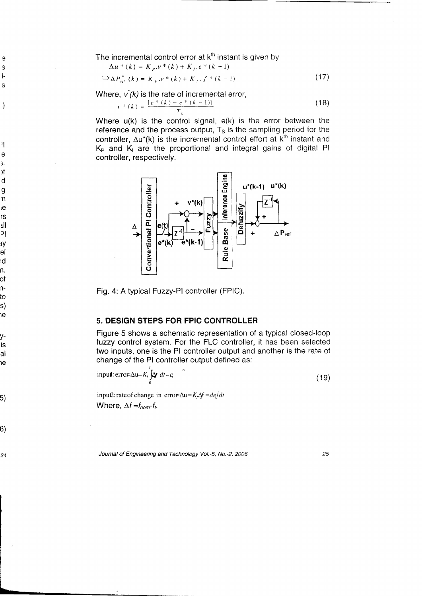The incremental control error at  $k<sup>th</sup>$  instant is given by

$$
\Delta u * (k) = K_p . v * (k) + K_i . e * (k - 1)
$$
  
\n
$$
\Rightarrow \Delta P_{ref}^{\star} (k) = K_p . v * (k) + K_i . f * (k - 1)
$$
\n(17)

Where,  $\vec{v}(k)$  is the rate of incremental error,

;  $\left| \cdot \right|$ 

 $\mathbf S$ 

 $\theta$ 

)

 $\mathbf{I}$  $\mathbf e$ ;. )f d g  $\mathsf{n}$ <sub>ie</sub> rs lll Dl ry el ١d n . 0t n-

s) ie

to

IS al ١ė

y-

5)

o)

24

$$
v * (k) = \frac{[e * (k) - e * (k - 1)]}{T_s}
$$
 (18)

Where u(k) is the control signal, e(k) is the error between the reference and the process output,  $T<sub>s</sub>$  is the sampling period for the controller,  $\Delta u^*(k)$  is the incremental control effort at  $k^{\text{th}}$  instant and  $K_P$  and  $K_I$  are the proportional and integral gains of digital Pl controller, respectively.



Fig. 4: A typical Fuzzy-Pl controller (FPIC).

## 5. DESIGN STEPS FOR FPIC CONTROLLER

Figure 5 shows a schematic representation of a typical closed-loop fuzzy control system. For the FLC controller, it has been selected two inputs, one is the Pl controller output and another is the rate of change of the Pl controller output defined as:

 $(19)$ input: error= $\Delta u = K_i \int \Delta f \, dt = e_i$ o

inpu2: rate of change in error- $\Delta u = K_t \Delta f = d\rho/dt$ Where,  $\Delta f = f_{nom} - f_t$ .

Joumal of Engineering and Technology Vol.-S, No.-2, 2006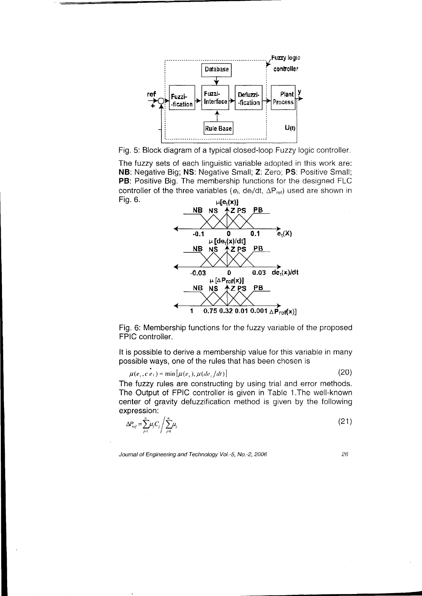

Fig. 5: Block diagram of a typical closed-loop Fuzzy logic controller.

The tuzzy sets of each linguistic variable adopted in this work are: NB: Negative Big; NS: Negative Small; Z. Zero; PS: Positive Small; PB: Positive Big. The membership functions for the designed FLC controller of the three variables ( $e_t$ , de<sub>t</sub>/dt,  $\Delta P_{ref}$ ) used are shown in Fig. 6.  $\mu[e_t(x)]$ 



Fig. 6: Membership functions for the tuzzy variable of the proposed FPIC controller.

It is possible to derive a membership value for this variable in many possible ways, one of the rules that has been chosen is

$$
\mu(e_t, c \, e_t) = \min[\mu(e_t), \mu(de_t/dt)] \tag{20}
$$

The fuzzy rules are constructing by using trial and error methods. The Output of FPIC controller is given in Table 1. The well-known center of gravity defuzzification method is given by the following expression:

$$
\Delta P_{ref} = \sum_{j=1}^{n} \mu_j C_j \left/ \sum_{j=1}^{n} \mu_j \right. \tag{21}
$$

Journal of Engineering and Technology Vol.-5, No.-2, 2006

26

g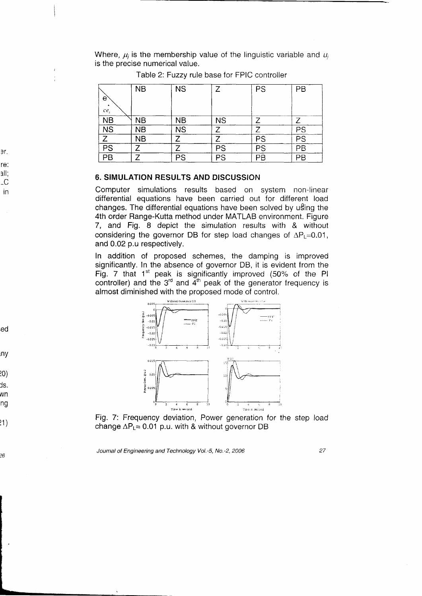Where,  $\mu_i$  is the membership value of the linguistic variable and  $u_i$ is the precise numerical value.

|                           | <b>NB</b> | <b>NS</b> | 7         | PS | PB |
|---------------------------|-----------|-----------|-----------|----|----|
| e                         |           |           |           |    |    |
| ce                        |           |           |           |    |    |
| <b>NB</b>                 | <b>NB</b> | NΒ        | <b>NS</b> |    |    |
| $\overline{\text{NS}}$    | <b>NB</b> | <b>NS</b> | 7         |    | PS |
| $\overline{\overline{z}}$ | <b>NB</b> |           |           | PS | PS |
| PS                        |           |           | PS        | PS | PB |
| PB                        |           | PS        | PS        | PВ | PВ |

Table 2: Fuzzy rule base for FPIC controller

### 6. SIMULATION RESULTS AND DISCUSSION

Computer simulations results based on system non-linear differential equations have been carried out for different load changes. The di{ferential equations have been solved by u8ing the 4th order Range-Kutta method under MATLAB environment. Figure 7, and Fig.  $8$  depict the simulation results with  $8$  without considering the governor DB for step load changes of  $\Delta P_L$ =0.01, and 0.02 p.u respectively.

ln addition of proposed schemes, the damping is improved significantly. In the absence of governor DB, it is evident from the Fig. 7 that  $1<sup>st</sup>$  peak is significantly improved (50% of the PI controller) and the  $3^{rd}$  and  $4^{th}$  peak of the generator frequency is almost diminished with the proposed mode of control.



Fig. 7: Frequency deviation, Power generation for the step load change  $\Delta P_L = 0.01$  p.u. with & without governor DB

Journal of Engineering and Technology Vol.-5, No.-2, 2006

27

er. re: ^il.  $\overline{C}$ 

in

ed

Iny

10)

ls. WN

ng

)1)

?6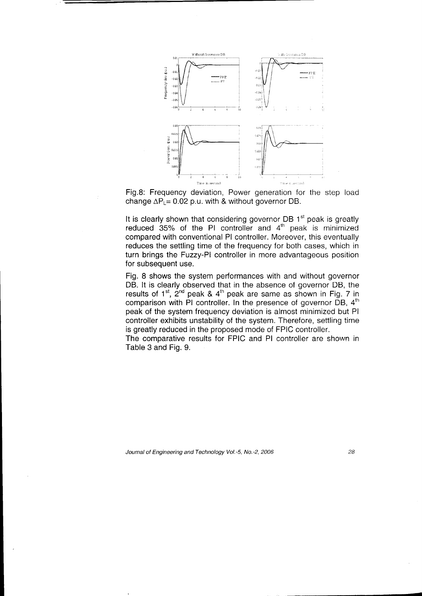

Fig.8: Frequency deviation, Power generation for the step load change  $\Delta P_{\perp}$  = 0.02 p.u. with & without governor DB.

It is clearly shown that considering governor DB 1st peak is greatly reduced 35% of the PI controller and  $4<sup>th</sup>$  peak is minimized compared with conventional Pl controller. Moreover, this eventually reduces the settling time of the frequency for both cases, which in turn brings the Fuzzy-Pl controller in more advantageous position for subsequent use,

Fig. 8 shows the system performances with and without governor DB. lt is clearly observed that in the absence of governor DB, the results of  $1^{st}$ ,  $2^{nd}$  peak &  $4^{th}$  peak are same as shown in Fig. 7 in comparison with PI controller. In the presence of governor  $DB$ ,  $4<sup>th</sup>$ peak of the system frequency deviation is almost minimized but Pl controller exhibits unstability of the system. Therefore, settling time is greatly reduced in the proposed mode of FPIC controller.

The comparative results for FPIC and Pl controller are shown in Table 3 and Fig. 9.

Journal of Engineering and Technology Vol.-5, No.-2, 2006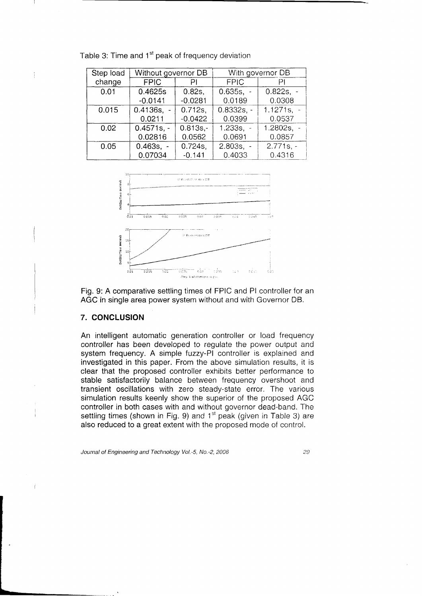| Step load | Without governor DB |             | With governor DB |              |  |
|-----------|---------------------|-------------|------------------|--------------|--|
| change    | <b>FPIC</b>         | РI          | <b>FPIC</b>      | PI           |  |
| 0.01      | 0.4625s             | 0.82s.      | $0.635s. -$      | $0.822s. -$  |  |
|           | $-0.0141$           | $-0.0281$   | 0.0189           | 0.0308       |  |
| 0.015     | $0.4136s. -$        | $0.712s$ ,  | $0.8332s. -$     | $1.1271s. -$ |  |
|           | 0.0211              | $-0.0422$   | 0.0399           | 0.0537       |  |
| 0.02      | $0.4571s. -$        | $0.813s. -$ | $1.233s. -$      | 1.2802s, $-$ |  |
|           | 0.02816             | 0.0562      | 0.0691           | 0.0857       |  |
| 0.05      | $0.463s. -$         | $0.724s$ ,  | $2.803s. -$      | $2.771s. -$  |  |
|           | 0.07034             | $-0.141$    | 0.4033           | 0.4316       |  |





Fig. 9: A comparative settling times of FPIC and Pl controller for an AGC in single area power system without and with Governor DB.

## 7. CONCLUSION

÷

An intelligent automatic generation controller or load frequency controller has been developed to regulate the power output and system frequency. A simple fuzzy-PI controller is explained and investigated in this paper. From the above simulation results, it is clear that the proposed controller exhibits better performance to stable satisfactorily balance between frequency overshoot and transient oscillations with zero steady-state error. The various simulation results keenly show the superior of the proposed AGC controller in both cases with and without governor dead-band. The settling times (shown in Fig. 9) and 1<sup>st</sup> peak (given in Table 3) are also reduced to a great extent with the proposed mode of control.

Journal of Engineering and Technology Vol.-5, No.-2, 2006 .)a